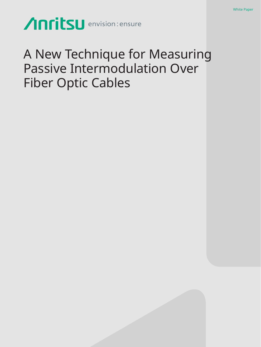Anritsu envision: ensure

# A New Technique for Measuring Passive Intermodulation Over Fiber Optic Cables

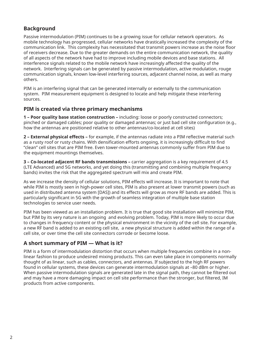# **Background**

Passive intermodulation (PIM) continues to be a growing issue for cellular network operators. As mobile technology has progressed, cellular networks have drastically increased the complexity of the communication link. This complexity has necessitated that transmit powers increase as the noise floor of receivers decrease. Due to the greater demands on the entire communication network, the quality of all aspects of the network have had to improve including mobile devices and base stations. All interference signals related to the mobile network have increasingly affected the quality of the network. Interfering signals can be generated by passive intermodulation, active modulation, rouge communication signals, known low-level interfering sources, adjacent channel noise, as well as many others.

PIM is an interfering signal that can be generated internally or externally to the communication system. PIM measurement equipment is designed to locate and help mitigate these interfering sources.

# **PIM is created via three primary mechanisms**

**1 – Poor quality base station construction –** including: loose or poorly constructed connectors; pinched or damaged cables; poor quality or damaged antennas; or just bad cell site configuration (e.g., how the antennas are positioned relative to other antennas/co-located at cell sites)

**2 – External physical effects –** for example, if the antennas radiate into a PIM reflective material such as a rusty roof or rusty chains. With densification efforts ongoing, it is increasingly difficult to find "clean" cell sites that are PIM free. Even tower-mounted antennas commonly suffer from PIM due to the equipment mountings themselves.

**3 – Co-located adjacent RF bands transmissions –** carrier aggregation is a key requirement of 4.5 (LTE Advanced) and 5G networks, and yet doing this (transmitting and combining multiple frequency bands) invites the risk that the aggregated spectrum will mix and create PIM.

As we increase the density of cellular solutions, PIM effects will increase. It is important to note that while PIM is mostly seen in high-power cell sites, PIM is also present at lower transmit powers (such as used in distributed antenna system [DAS]) and its effects will grow as more RF bands are added. This is particularly significant in 5G with the growth of seamless integration of multiple base station technologies to service user needs.

PIM has been viewed as an installation problem. It is true that good site installation will minimize PIM, but PIM by its very nature is an ongoing and evolving problem. Today, PIM is more likely to occur due to changes in frequency content or the physical environment in the vicinity of the cell site. For example, a new RF band is added to an existing cell site, a new physical structure is added within the range of a cell site, or over time the cell site connectors corrode or become loose.

# **A short summary of PIM — What is it?**

PIM is a form of intermodulation distortion that occurs when multiple frequencies combine in a nonlinear fashion to produce undesired mixing products. This can even take place in components normally thought of as linear, such as cables, connectors, and antennas. If subjected to the high RF powers found in cellular systems, these devices can generate intermodulation signals at –80 dBm or higher. When passive intermodulation signals are generated late in the signal path, they cannot be filtered out and may have a more damaging impact on cell site performance than the stronger, but filtered, IM products from active components.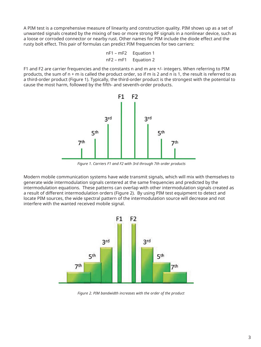A PIM test is a comprehensive measure of linearity and construction quality. PIM shows up as a set of unwanted signals created by the mixing of two or more strong RF signals in a nonlinear device, such as a loose or corroded connector or nearby rust. Other names for PIM include the diode effect and the rusty bolt effect. This pair of formulas can predict PIM frequencies for two carriers:

```
nF1 – mF2 Equation 1
nF2 – mF1 Equation 2
```
F1 and F2 are carrier frequencies and the constants n and m are +/- integers. When referring to PIM products, the sum of n + m is called the product order, so if m is 2 and n is 1, the result is referred to as a third-order product (Figure 1). Typically, the third-order product is the strongest with the potential to cause the most harm, followed by the fifth- and seventh-order products.



*Figure 1. Carriers F1 and F2 with 3rd through 7th order products* 

Modern mobile communication systems have wide transmit signals, which will mix with themselves to generate wide intermodulation signals centered at the same frequencies and predicted by the intermodulation equations. These patterns can overlap with other intermodulation signals created as a result of different intermodulation orders (Figure 2). By using PIM test equipment to detect and locate PIM sources, the wide spectral pattern of the intermodulation source will decrease and not interfere with the wanted received mobile signal.



*Figure 2. PIM bandwidth increases with the order of the product*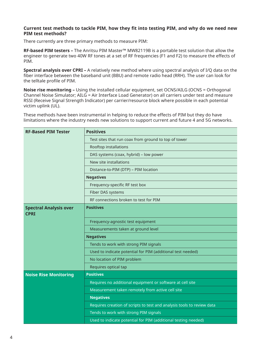# **Current test methods to tackle PIM, how they fit into testing PIM, and why do we need new PIM test methods?**

There currently are three primary methods to measure PIM:

**RF-based PIM testers –** The Anritsu PIM Master™ MW82119B is a portable test solution that allow the engineer to generate two 40W RF tones at a set of RF frequencies (F1 and F2) to measure the effects of PIM.

**Spectral analysis over CPRI –** A relatively new method where using spectral analysis of I/Q data on the fiber interface between the baseband unit (BBU) and remote radio head (RRH). The user can look for the telltale profile of PIM.

**Noise rise monitoring –** Using the installed cellular equipment, set OCNS/AILG (OCNS = Orthogonal Channel Noise Simulator; AILG = Air Interface Load Generator) on all carriers under test and measure RSSI (Receive Signal Strength Indicator) per carrier/resource block where possible in each potential victim uplink (UL).

These methods have been instrumental in helping to reduce the effects of PIM but they do have limitations where the industry needs new solutions to support current and future 4 and 5G networks.

| <b>RF-Based PIM Tester</b>                   | <b>Positives</b>                                                                                         |  |  |  |  |  |  |  |
|----------------------------------------------|----------------------------------------------------------------------------------------------------------|--|--|--|--|--|--|--|
|                                              | Test sites that run coax from ground to top of tower                                                     |  |  |  |  |  |  |  |
|                                              | Rooftop installations                                                                                    |  |  |  |  |  |  |  |
|                                              | DAS systems (coax, hybrid) - low power<br>New site installations<br>Distance-to-PIM (DTP) - PIM location |  |  |  |  |  |  |  |
|                                              |                                                                                                          |  |  |  |  |  |  |  |
|                                              |                                                                                                          |  |  |  |  |  |  |  |
|                                              | <b>Negatives</b>                                                                                         |  |  |  |  |  |  |  |
|                                              | Frequency-specific RF test box                                                                           |  |  |  |  |  |  |  |
|                                              | Fiber DAS systems                                                                                        |  |  |  |  |  |  |  |
|                                              | RF connections broken to test for PIM                                                                    |  |  |  |  |  |  |  |
| <b>Spectral Analysis over</b><br><b>CPRI</b> | <b>Positives</b>                                                                                         |  |  |  |  |  |  |  |
|                                              | Frequency-agnostic test equipment                                                                        |  |  |  |  |  |  |  |
|                                              | Measurements taken at ground level                                                                       |  |  |  |  |  |  |  |
|                                              | <b>Negatives</b>                                                                                         |  |  |  |  |  |  |  |
|                                              | Tends to work with strong PIM signals                                                                    |  |  |  |  |  |  |  |
|                                              | Used to indicate potential for PIM (additional test needed)                                              |  |  |  |  |  |  |  |
|                                              | No location of PIM problem                                                                               |  |  |  |  |  |  |  |
|                                              | Requires optical tap                                                                                     |  |  |  |  |  |  |  |
| <b>Noise Rise Monitoring</b>                 | <b>Positives</b>                                                                                         |  |  |  |  |  |  |  |
|                                              | Requires no additional equipment or software at cell site                                                |  |  |  |  |  |  |  |
|                                              | Measurement taken remotely from active cell site                                                         |  |  |  |  |  |  |  |
|                                              | <b>Negatives</b>                                                                                         |  |  |  |  |  |  |  |
|                                              | Requires creation of scripts to test and analysis tools to review data                                   |  |  |  |  |  |  |  |
|                                              | Tends to work with strong PIM signals                                                                    |  |  |  |  |  |  |  |
|                                              | Used to indicate potential for PIM (additional testing needed)                                           |  |  |  |  |  |  |  |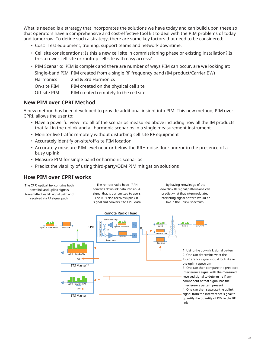What is needed is a strategy that incorporates the solutions we have today and can build upon these so that operators have a comprehensive and cost-effective tool kit to deal with the PIM problems of today and tomorrow. To define such a strategy, there are some key factors that need to be considered:

- Cost: Test equipment, training, support teams and network downtime.
- Cell site considerations: Is this a new cell site in commissioning phase or existing installation? Is this a tower cell site or rooftop cell site with easy access?
- PIM Scenario: PIM is complex and there are number of ways PIM can occur, are we looking at: Single-band PIM PIM created from a single RF frequency band (IM product/Carrier BW)

Harmonics 2nd & 3rd Harmonics

On-site PIM PIM created on the physical cell site

Off-site PIM PIM created remotely to the cell site

# **New PIM over CPRI Method**

A new method has been developed to provide additional insight into PIM. This new method, PIM over CPRI, allows the user to:

- Have a powerful view into all of the scenarios measured above including how all the IM products that fall in the uplink and all harmonic scenarios in a single measurement instrument
- Monitor live traffic remotely without disturbing cell site RF equipment
- Accurately identify on-site/off-site PIM location
- Accurately measure PIM level near or below the RRH noise floor and/or in the presence of a busy uplink
- Measure PIM for single-band or harmonic scenarios
- Predict the viability of using third-party/OEM PIM mitigation solutions

# **How PIM over CPRI works**

The CPRI optical link contains both downlink and uplink signals transmitted via RF signal path and received via RF signal path.

The remote radio head (RRH) converts downlink data into an RF signal that is transmitted to users. The RRH also receives uplink RF signal and convers it to CPRI data.

By having knowledge of the downlink RF signal pattern-one can predict what that intermodulated interfering signal pattern would be like in the uplink spectrum.

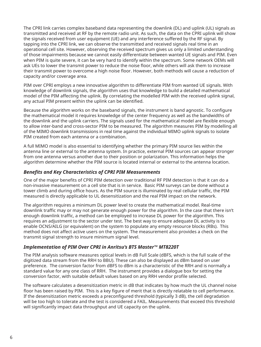The CPRI link carries complex baseband data representing the downlink (DL) and uplink (UL) signals as transmitted and received at RF by the remote radio unit. As such, the data on the CPRI uplink will show the signals received from user equipment (UE) and any interference suffered by the RF signal. By tapping into the CPRI link, we can observe the transmitted and received signals real time in an operational cell site. However, observing the received spectrum gives us only a limited understanding of those impairments because we cannot easily differentiate between wanted UE signals and PIM. Even when PIM is quite severe, it can be very hard to identify within the spectrum. Some network OEMs will ask UEs to lower the transmit power to reduce the noise floor, while others will ask them to increase their transmit power to overcome a high noise floor. However, both methods will cause a reduction of capacity and/or coverage area.

PIM over CPRI employs a new innovative algorithm to differentiate PIM from wanted UE signals. With knowledge of downlink signals, the algorithm uses that knowledge to build a detailed mathematical model of the PIM affecting the uplink. By correlating the modelled PIM with the received uplink signal, any actual PIM present within the uplink can be identified.

Because the algorithm works on the baseband signals, the instrument is band agnostic. To configure the mathematical model it requires knowledge of the center frequency as well as the bandwidths of the downlink and the uplink carriers. The signals used for the mathematical model are flexible enough to allow inter-band and cross-sector PIM to be measured. The algorithm measures PIM by modelling all of the MIMO downlink transmissions in real time against the individual MIMO uplink signals to isolate PIM created from each antenna or a combination.

A full MIMO model is also essential to identifying whether the primary PIM source lies within the antenna line or external to the antenna system. In practice, external PIM sources can appear stronger from one antenna versus another due to their position or polarization. This information helps the algorithm determine whether the PIM source is located internal or external to the antenna location.

# *Benefits and Key Characteristics of CPRI PIM Measurements*

One of the major benefits of CPRI PIM detection over traditional RF PIM detection is that it can do a non-invasive measurement on a cell site that is in service. Basic PIM surveys can be done without a tower climb and during office hours. As the PIM source is illuminated by real cellular traffic, the PIM measured is directly applicable to UL desensitization and the real PIM impact on the network.

The algorithm requires a minimum DL power level to create the mathematical model. Real-time downlink traffic may or may not generate enough power for the algorithm. In the case that there isn't enough downlink traffic, a method can be employed to increase DL power for the algorithm. This requires an adjustment to the sector under test. The best way to ensure adequate DL activity is to enable OCNS/AILG (or equivalent) on the system to populate any empty resource blocks (RBs). This method does not affect active users on the system. The measurement also provides a check on the transmit signal strength to insure minimum signal level.

# *Implementation of PIM Over CPRI in Anritsu's BTS Master™ MT8220T*

The PIM analysis software measures optical levels in dB Full Scale (dBFS, which is the full scale of the digitized data stream from the RRH to BBU). These can also be displayed as dBm based on user preference. The conversion factor from dBFS to dBm is a characteristic of the RRH and is normally a standard value for any one class of RRH. The instrument provides a dialogue box for setting the conversion factor, with suitable default values based on any RRH vendor profile selected.

The software calculates a desensitization metric in dB that indicates by how much the UL channel noise floor has been raised by PIM. This is a key figure of merit that is directly relatable to cell performance. If the desensitization metric exceeds a preconfigured threshold (typically 3 dB), the cell degradation will be too high to tolerate and the test is considered a FAIL. Measurements that exceed this threshold will significantly impact data throughput and UE capacity on the uplink.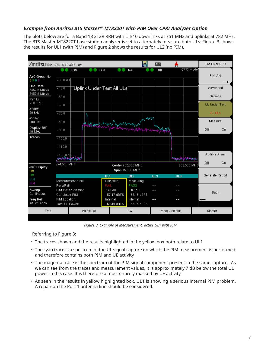# *Example from Anritsu BTS Master™ MT8220T with PIM Over CPRI Analyzer Option*

The plots below are for a Band 13 2T2R RRH with LTE10 downlinks at 751 MHz and uplinks at 782 MHz. The BTS Master MT8220T base station analyzer is set to alternately measure both ULs: Figure 3 shows the results for UL1 (with PIM) and Figure 2 shows the results for UL2 (no PIM).

| œ<br><b>/Inritsu</b> 04/12/2018 10:30:21 am<br>Ш   |                                                                     |     |           |                          |                           |                   |               |              |                               | PIM Over CPRI |                                  |    |
|----------------------------------------------------|---------------------------------------------------------------------|-----|-----------|--------------------------|---------------------------|-------------------|---------------|--------------|-------------------------------|---------------|----------------------------------|----|
|                                                    |                                                                     | LOS |           | LOF                      |                           | RAI               |               | <b>SDI</b>   |                               | CPRI Mode     |                                  |    |
| AxC Group No<br>2300                               | $-30.0$ dB                                                          |     |           |                          |                           |                   |               |              |                               | PIM Aid       |                                  |    |
| <b>Line Rate</b><br>2457.6 Mbit/s<br>2457.6 Mbit/s | $-40.0$                                                             |     |           |                          | Uplink Under Test All ULs |                   |               |              |                               |               | Advanced                         |    |
| <b>Ref LvI</b><br>$-30.0$ dB                       | $-50.0$<br>$-60.0$                                                  |     |           |                          |                           |                   |               |              |                               |               | Settings<br><b>UL Under Test</b> |    |
| #RBW<br>30 kHz                                     | $-70.0$                                                             |     |           |                          |                           |                   |               |              |                               |               | All ULs                          |    |
| #VBW<br>300 Hz                                     | $-80.0$                                                             |     |           |                          | athology money was sure   |                   | u MWW         |              |                               |               | Measure                          |    |
| <b>Display BW</b><br>10 MHz                        | $-90.0$                                                             |     |           |                          |                           | <b>MWWWWWWWW</b>  |               |              |                               |               | Off                              | On |
| <b>Traces</b>                                      | $-100.0$                                                            |     |           |                          |                           |                   |               |              |                               |               |                                  |    |
|                                                    | $-110.0$                                                            |     |           |                          |                           |                   |               |              |                               |               |                                  |    |
|                                                    | – 1 20,0 d₿<br>Munikapubahaya                                       |     |           |                          |                           |                   |               |              | <b>Masseugh Antohnem Moto</b> |               | Audible Alarm                    |    |
| <b>AxC Display</b><br>Off                          | 774.500 MHz<br>Center 782.000 MHz<br>789.500 MHz<br>Span 15.000 MHz |     |           |                          |                           |                   |               |              |                               | Off           | On                               |    |
| Off                                                |                                                                     |     |           | UL1                      |                           | UL2               |               | UL3          | UL4                           |               | Generate Report                  |    |
| UL3<br>UL4                                         | Measurement State:<br>Pass/Fail:                                    |     |           | Complete<br>FAIL         |                           | Measuring<br>PASS |               | $ -$<br>$ -$ |                               |               |                                  |    |
| Sweep<br>Continuous                                | PIM Desensitization:<br>Correlated PIM:                             |     |           | 7.73 dB<br>$-57.47$ dBFS |                           | $-82.15$ dBFS     | - -<br>--     |              |                               | <b>Back</b>   |                                  |    |
| <b>Freq Ref</b><br>Int Std Accy                    | PIM Location:<br>Total UL Power:                                    |     |           |                          | Internal<br>$-50.49$ dBFS |                   | $-53.15$ dBFS | $-1$         |                               |               |                                  |    |
| Freq                                               |                                                                     |     | Amplitude |                          | <b>BW</b>                 |                   |               | Measurements |                               |               | Marker                           |    |

*Figure 3. Example of Measurement, active UL1 with PIM*

Referring to Figure 3:

- The traces shown and the results highlighted in the yellow box both relate to UL1
- The cyan trace is a spectrum of the UL signal capture on which the PIM measurement is performed and therefore contains both PIM and UE activity
- The magenta trace is the spectrum of the PIM signal component present in the same capture. As we can see from the traces and measurement values, it is approximately 7 dB below the total UL power in this case. It is therefore almost entirely masked by UE activity
- As seen in the results in yellow highlighted box, UL1 is showing a serious internal PIM problem. A repair on the Port 1 antenna line should be considered.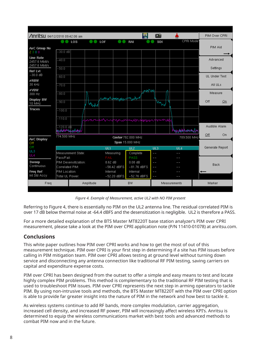| œ<br><b>/Inritsu</b> 04/12/2018 09:42:06 am  |                                                  |                                  |           |               |                       |                  |                       |                   |                 | PIM Over CPRI |                                  |    |
|----------------------------------------------|--------------------------------------------------|----------------------------------|-----------|---------------|-----------------------|------------------|-----------------------|-------------------|-----------------|---------------|----------------------------------|----|
| CPRI Mode<br>LOS<br>LOF<br>RAI<br><b>SDI</b> |                                                  |                                  |           |               |                       |                  |                       |                   |                 |               |                                  |    |
| AxC Group No<br>2300                         | $-30.0$ dB                                       |                                  |           |               |                       |                  |                       |                   |                 |               | PIM Aid                          |    |
| <b>Line Rate</b>                             |                                                  |                                  |           |               |                       |                  |                       |                   |                 |               |                                  |    |
| 2457.6 Mbit/s<br>2457.6 Mbit/s               | $-40.0$                                          |                                  |           |               |                       |                  |                       |                   |                 |               | Advanced                         |    |
| <b>Ref LvI</b><br>$-30.0$ dB                 | $-50.0$                                          |                                  |           |               |                       |                  |                       |                   |                 |               | Settings<br><b>UL Under Test</b> |    |
| #RBW                                         | $-60.0$                                          |                                  |           |               |                       |                  |                       |                   |                 |               |                                  |    |
| 30 kHz                                       | $-70.0$                                          |                                  |           |               |                       |                  |                       |                   |                 |               | All ULs                          |    |
| #VBW<br>300 Hz                               | $-80.0$                                          |                                  |           |               |                       |                  | <b>ANTAN</b>          |                   |                 |               | Measure                          |    |
| <b>Display BW</b><br>10 MHz                  | $-90.0$                                          |                                  | Worker    |               | many management which |                  |                       | my                |                 |               | Off                              | On |
| <b>Traces</b>                                | $-100.0$                                         |                                  |           |               |                       |                  |                       |                   |                 |               |                                  |    |
|                                              | $-110.0$<br>ntarmanifummanifumpuani              |                                  |           |               |                       |                  |                       |                   |                 |               |                                  |    |
|                                              | –120.0 d₿<br><b>Studio Proprietorio</b>          |                                  |           |               |                       |                  | <b>Wedishbarromay</b> |                   |                 | Audible Alarm |                                  |    |
| <b>AxC Display</b>                           | 774.500 MHz<br>789.500 MHz<br>Center 782,000 MHz |                                  |           |               |                       |                  |                       |                   |                 | Off           | On                               |    |
| Off                                          |                                                  |                                  |           |               |                       | Span 15.000 MHz  |                       |                   |                 |               |                                  |    |
| Off<br>UL3                                   |                                                  |                                  |           | UL1           |                       | UL2              |                       | UL3               | UI <sub>4</sub> |               | Generate Report                  |    |
| UL4                                          | Pass/Fail:                                       | lMeasurement State:              |           | FAIL          | Measuring             | Complete<br>PASS |                       | $=$<br>$- -$      |                 |               |                                  |    |
| Sweep                                        | PIM Desensitization:                             |                                  |           | 8.62 dB       |                       | $0.08$ dB        |                       | $ -$              |                 |               |                                  |    |
| Continuous                                   | Correlated PIM:                                  |                                  |           | $-56.42$ dBFS |                       | $-81.76$ dBFS    |                       | $- -$             |                 | Back          |                                  |    |
| <b>Freq Ref</b><br>Int Std Accy              |                                                  | PIM Location:<br>Total UL Power: |           |               | Internal<br>Internal  |                  |                       | $\qquad \qquad -$ |                 |               |                                  |    |
|                                              |                                                  |                                  |           |               | $-52.20$ dBFS         | $-52.76$ dBFS    |                       | $-1$              |                 |               |                                  |    |
| Freq                                         |                                                  |                                  | Amplitude |               | <b>BW</b>             |                  |                       | Measurements      |                 |               | Marker                           |    |
|                                              |                                                  |                                  |           |               |                       |                  |                       |                   |                 |               |                                  |    |

*Figure 4. Example of Measurement, active UL2 with NO PIM present*

Referring to Figure 4, there is essentially no PIM on the UL2 antenna line. The residual correlated PIM is over 17 dB below thermal noise at -64.4 dBFS and the desensitization is negligible. UL2 is therefore a PASS.

For a more detailed explanation of the BTS Master MT8220T base station analyzer's PIM over CPRI measurement, please take a look at the PIM over CPRI application note (P/N 11410-01078) at anritsu.com.

# **Conclusions**

This white paper outlines how PIM over CPRI works and how to get the most of out of this measurement technique. PIM over CPRI is your first step in determining if a site has PIM issues before calling in PIM mitigation team. PIM over CPRI allows testing at ground level without turning down service and disconnecting any antenna connection like traditional RF PIM testing, saving carriers on capital and expenditure expense costs.

PIM over CPRI has been designed from the outset to offer a simple and easy means to test and locate highly complex PIM problems. This method is complementary to the traditional RF PIM testing that is used to troubleshoot PIM issues. PIM over CPRI represents the next step in arming operators to tackle PIM. By using non-intrusive tools and methods, the BTS Master MT8220T with the PIM over CPRI option is able to provide far greater insight into the nature of PIM in the network and how best to tackle it.

As wireless systems continue to add RF bands, more complex modulation, carrier aggregation, increased cell density, and increased RF power, PIM will increasingly affect wireless KPI's. Anritsu is determined to equip the wireless communications market with best tools and advanced methods to combat PIM now and in the future.